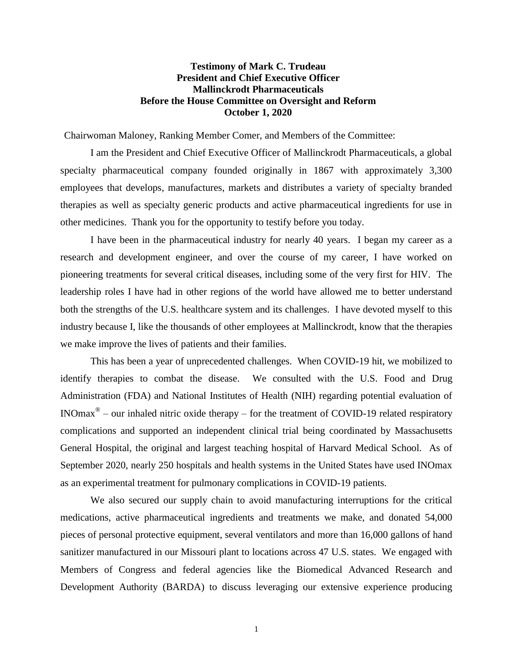# **Testimony of Mark C. Trudeau President and Chief Executive Officer Mallinckrodt Pharmaceuticals Before the House Committee on Oversight and Reform October 1, 2020**

Chairwoman Maloney, Ranking Member Comer, and Members of the Committee:

I am the President and Chief Executive Officer of Mallinckrodt Pharmaceuticals, a global specialty pharmaceutical company founded originally in 1867 with approximately 3,300 employees that develops, manufactures, markets and distributes a variety of specialty branded therapies as well as specialty generic products and active pharmaceutical ingredients for use in other medicines. Thank you for the opportunity to testify before you today.

I have been in the pharmaceutical industry for nearly 40 years. I began my career as a research and development engineer, and over the course of my career, I have worked on pioneering treatments for several critical diseases, including some of the very first for HIV. The leadership roles I have had in other regions of the world have allowed me to better understand both the strengths of the U.S. healthcare system and its challenges. I have devoted myself to this industry because I, like the thousands of other employees at Mallinckrodt, know that the therapies we make improve the lives of patients and their families.

This has been a year of unprecedented challenges. When COVID-19 hit, we mobilized to identify therapies to combat the disease. We consulted with the U.S. Food and Drug Administration (FDA) and National Institutes of Health (NIH) regarding potential evaluation of INOmax<sup>®</sup> – our inhaled nitric oxide therapy – for the treatment of COVID-19 related respiratory complications and supported an independent clinical trial being coordinated by Massachusetts General Hospital, the original and largest teaching hospital of Harvard Medical School. As of September 2020, nearly 250 hospitals and health systems in the United States have used INOmax as an experimental treatment for pulmonary complications in COVID-19 patients.

We also secured our supply chain to avoid manufacturing interruptions for the critical medications, active pharmaceutical ingredients and treatments we make, and donated 54,000 pieces of personal protective equipment, several ventilators and more than 16,000 gallons of hand sanitizer manufactured in our Missouri plant to locations across 47 U.S. states. We engaged with Members of Congress and federal agencies like the Biomedical Advanced Research and Development Authority (BARDA) to discuss leveraging our extensive experience producing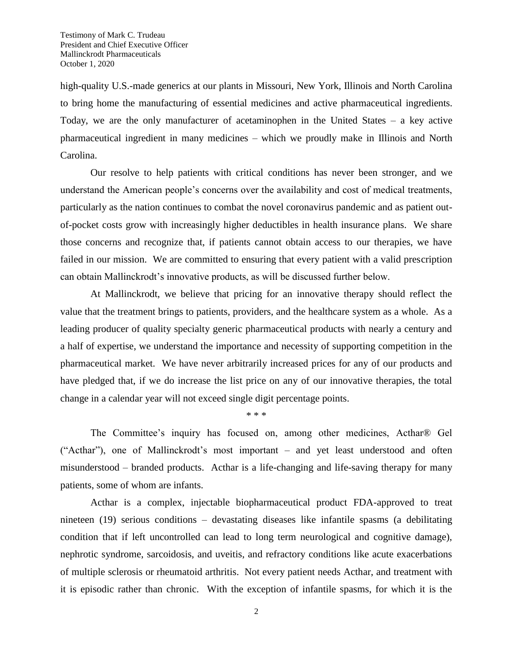high-quality U.S.-made generics at our plants in Missouri, New York, Illinois and North Carolina to bring home the manufacturing of essential medicines and active pharmaceutical ingredients. Today, we are the only manufacturer of acetaminophen in the United States – a key active pharmaceutical ingredient in many medicines – which we proudly make in Illinois and North Carolina.

Our resolve to help patients with critical conditions has never been stronger, and we understand the American people's concerns over the availability and cost of medical treatments, particularly as the nation continues to combat the novel coronavirus pandemic and as patient outof-pocket costs grow with increasingly higher deductibles in health insurance plans. We share those concerns and recognize that, if patients cannot obtain access to our therapies, we have failed in our mission. We are committed to ensuring that every patient with a valid prescription can obtain Mallinckrodt's innovative products, as will be discussed further below.

At Mallinckrodt, we believe that pricing for an innovative therapy should reflect the value that the treatment brings to patients, providers, and the healthcare system as a whole. As a leading producer of quality specialty generic pharmaceutical products with nearly a century and a half of expertise, we understand the importance and necessity of supporting competition in the pharmaceutical market. We have never arbitrarily increased prices for any of our products and have pledged that, if we do increase the list price on any of our innovative therapies, the total change in a calendar year will not exceed single digit percentage points.

\* \* \*

The Committee's inquiry has focused on, among other medicines, Acthar® Gel ("Acthar"), one of Mallinckrodt's most important – and yet least understood and often misunderstood – branded products. Acthar is a life-changing and life-saving therapy for many patients, some of whom are infants.

Acthar is a complex, injectable biopharmaceutical product FDA-approved to treat nineteen (19) serious conditions – devastating diseases like infantile spasms (a debilitating condition that if left uncontrolled can lead to long term neurological and cognitive damage), nephrotic syndrome, sarcoidosis, and uveitis, and refractory conditions like acute exacerbations of multiple sclerosis or rheumatoid arthritis. Not every patient needs Acthar, and treatment with it is episodic rather than chronic. With the exception of infantile spasms, for which it is the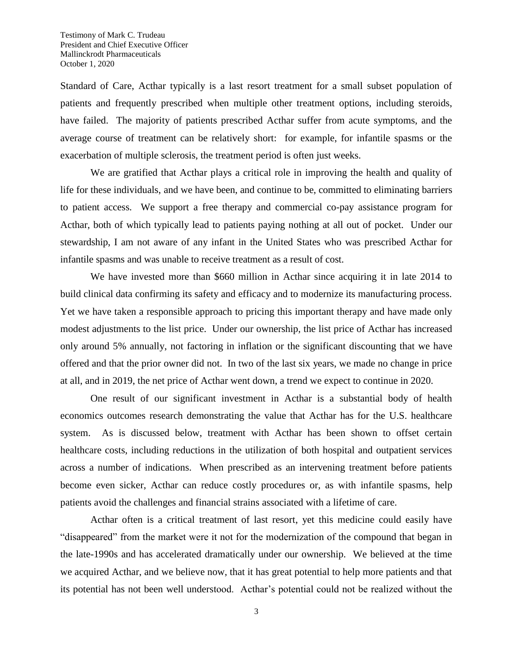Standard of Care, Acthar typically is a last resort treatment for a small subset population of patients and frequently prescribed when multiple other treatment options, including steroids, have failed. The majority of patients prescribed Acthar suffer from acute symptoms, and the average course of treatment can be relatively short: for example, for infantile spasms or the exacerbation of multiple sclerosis, the treatment period is often just weeks.

We are gratified that Acthar plays a critical role in improving the health and quality of life for these individuals, and we have been, and continue to be, committed to eliminating barriers to patient access. We support a free therapy and commercial co-pay assistance program for Acthar, both of which typically lead to patients paying nothing at all out of pocket. Under our stewardship, I am not aware of any infant in the United States who was prescribed Acthar for infantile spasms and was unable to receive treatment as a result of cost.

We have invested more than \$660 million in Acthar since acquiring it in late 2014 to build clinical data confirming its safety and efficacy and to modernize its manufacturing process. Yet we have taken a responsible approach to pricing this important therapy and have made only modest adjustments to the list price. Under our ownership, the list price of Acthar has increased only around 5% annually, not factoring in inflation or the significant discounting that we have offered and that the prior owner did not. In two of the last six years, we made no change in price at all, and in 2019, the net price of Acthar went down, a trend we expect to continue in 2020.

One result of our significant investment in Acthar is a substantial body of health economics outcomes research demonstrating the value that Acthar has for the U.S. healthcare system. As is discussed below, treatment with Acthar has been shown to offset certain healthcare costs, including reductions in the utilization of both hospital and outpatient services across a number of indications. When prescribed as an intervening treatment before patients become even sicker, Acthar can reduce costly procedures or, as with infantile spasms, help patients avoid the challenges and financial strains associated with a lifetime of care.

Acthar often is a critical treatment of last resort, yet this medicine could easily have "disappeared" from the market were it not for the modernization of the compound that began in the late-1990s and has accelerated dramatically under our ownership. We believed at the time we acquired Acthar, and we believe now, that it has great potential to help more patients and that its potential has not been well understood. Acthar's potential could not be realized without the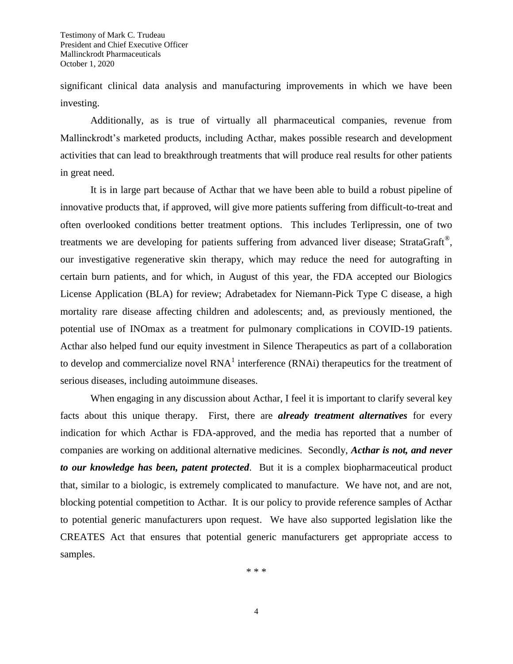significant clinical data analysis and manufacturing improvements in which we have been investing.

Additionally, as is true of virtually all pharmaceutical companies, revenue from Mallinckrodt's marketed products, including Acthar, makes possible research and development activities that can lead to breakthrough treatments that will produce real results for other patients in great need.

It is in large part because of Acthar that we have been able to build a robust pipeline of innovative products that, if approved, will give more patients suffering from difficult-to-treat and often overlooked conditions better treatment options. This includes Terlipressin, one of two treatments we are developing for patients suffering from advanced liver disease; StrataGraft<sup>®</sup>, our investigative regenerative skin therapy, which may reduce the need for autografting in certain burn patients, and for which, in August of this year, the FDA accepted our Biologics License Application (BLA) for review; Adrabetadex for Niemann-Pick Type C disease, a high mortality rare disease affecting children and adolescents; and, as previously mentioned, the potential use of INOmax as a treatment for pulmonary complications in COVID-19 patients. Acthar also helped fund our equity investment in Silence Therapeutics as part of a collaboration to develop and commercialize novel  $RNA<sup>1</sup>$  interference  $(RNAi)$  therapeutics for the treatment of serious diseases, including autoimmune diseases.

When engaging in any discussion about Acthar, I feel it is important to clarify several key facts about this unique therapy. First, there are *already treatment alternatives* for every indication for which Acthar is FDA-approved, and the media has reported that a number of companies are working on additional alternative medicines. Secondly, *Acthar is not, and never to our knowledge has been, patent protected*. But it is a complex biopharmaceutical product that, similar to a biologic, is extremely complicated to manufacture. We have not, and are not, blocking potential competition to Acthar. It is our policy to provide reference samples of Acthar to potential generic manufacturers upon request. We have also supported legislation like the CREATES Act that ensures that potential generic manufacturers get appropriate access to samples.

\* \* \*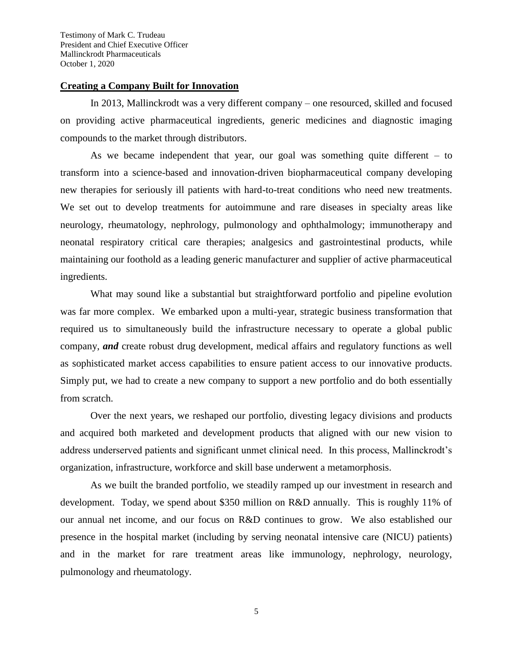#### **Creating a Company Built for Innovation**

In 2013, Mallinckrodt was a very different company – one resourced, skilled and focused on providing active pharmaceutical ingredients, generic medicines and diagnostic imaging compounds to the market through distributors.

As we became independent that year, our goal was something quite different – to transform into a science-based and innovation-driven biopharmaceutical company developing new therapies for seriously ill patients with hard-to-treat conditions who need new treatments. We set out to develop treatments for autoimmune and rare diseases in specialty areas like neurology, rheumatology, nephrology, pulmonology and ophthalmology; immunotherapy and neonatal respiratory critical care therapies; analgesics and gastrointestinal products, while maintaining our foothold as a leading generic manufacturer and supplier of active pharmaceutical ingredients.

What may sound like a substantial but straightforward portfolio and pipeline evolution was far more complex. We embarked upon a multi-year, strategic business transformation that required us to simultaneously build the infrastructure necessary to operate a global public company, *and* create robust drug development, medical affairs and regulatory functions as well as sophisticated market access capabilities to ensure patient access to our innovative products. Simply put, we had to create a new company to support a new portfolio and do both essentially from scratch.

Over the next years, we reshaped our portfolio, divesting legacy divisions and products and acquired both marketed and development products that aligned with our new vision to address underserved patients and significant unmet clinical need. In this process, Mallinckrodt's organization, infrastructure, workforce and skill base underwent a metamorphosis.

As we built the branded portfolio, we steadily ramped up our investment in research and development. Today, we spend about \$350 million on R&D annually. This is roughly 11% of our annual net income, and our focus on R&D continues to grow. We also established our presence in the hospital market (including by serving neonatal intensive care (NICU) patients) and in the market for rare treatment areas like immunology, nephrology, neurology, pulmonology and rheumatology.

5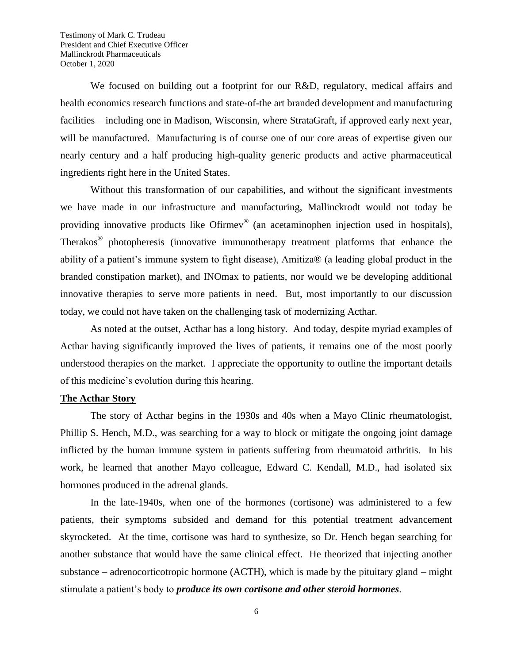We focused on building out a footprint for our R&D, regulatory, medical affairs and health economics research functions and state-of-the art branded development and manufacturing facilities – including one in Madison, Wisconsin, where StrataGraft, if approved early next year, will be manufactured. Manufacturing is of course one of our core areas of expertise given our nearly century and a half producing high-quality generic products and active pharmaceutical ingredients right here in the United States.

Without this transformation of our capabilities, and without the significant investments we have made in our infrastructure and manufacturing, Mallinckrodt would not today be providing innovative products like Ofirmev<sup>®</sup> (an acetaminophen injection used in hospitals), Therakos<sup>®</sup> photopheresis (innovative immunotherapy treatment platforms that enhance the ability of a patient's immune system to fight disease), Amitiza® (a leading global product in the branded constipation market), and INOmax to patients, nor would we be developing additional innovative therapies to serve more patients in need. But, most importantly to our discussion today, we could not have taken on the challenging task of modernizing Acthar.

As noted at the outset, Acthar has a long history. And today, despite myriad examples of Acthar having significantly improved the lives of patients, it remains one of the most poorly understood therapies on the market. I appreciate the opportunity to outline the important details of this medicine's evolution during this hearing.

### **The Acthar Story**

The story of Acthar begins in the 1930s and 40s when a Mayo Clinic rheumatologist, Phillip S. Hench, M.D., was searching for a way to block or mitigate the ongoing joint damage inflicted by the human immune system in patients suffering from rheumatoid arthritis. In his work, he learned that another Mayo colleague, Edward C. Kendall, M.D., had isolated six hormones produced in the adrenal glands.

In the late-1940s, when one of the hormones (cortisone) was administered to a few patients, their symptoms subsided and demand for this potential treatment advancement skyrocketed. At the time, cortisone was hard to synthesize, so Dr. Hench began searching for another substance that would have the same clinical effect. He theorized that injecting another substance – adrenocorticotropic hormone (ACTH), which is made by the pituitary gland – might stimulate a patient's body to *produce its own cortisone and other steroid hormones.*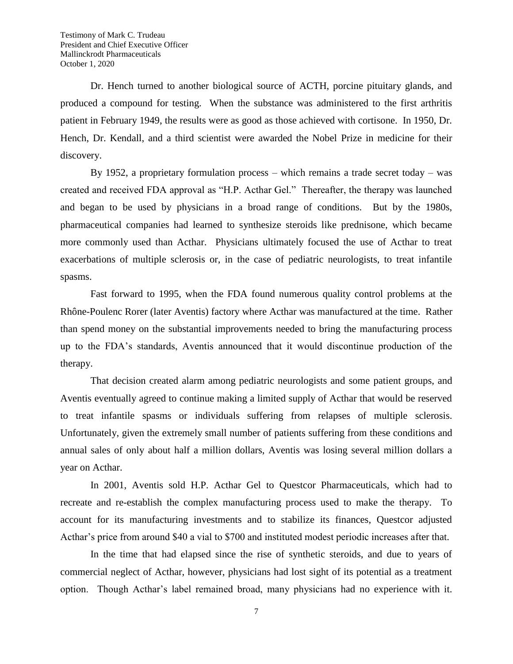Dr. Hench turned to another biological source of ACTH, porcine pituitary glands, and produced a compound for testing. When the substance was administered to the first arthritis patient in February 1949, the results were as good as those achieved with cortisone. In 1950, Dr. Hench, Dr. Kendall, and a third scientist were awarded the Nobel Prize in medicine for their discovery.

By 1952, a proprietary formulation process – which remains a trade secret today – was created and received FDA approval as "H.P. Acthar Gel." Thereafter, the therapy was launched and began to be used by physicians in a broad range of conditions. But by the 1980s, pharmaceutical companies had learned to synthesize steroids like prednisone, which became more commonly used than Acthar. Physicians ultimately focused the use of Acthar to treat exacerbations of multiple sclerosis or, in the case of pediatric neurologists, to treat infantile spasms.

Fast forward to 1995, when the FDA found numerous quality control problems at the Rhône-Poulenc Rorer (later Aventis) factory where Acthar was manufactured at the time. Rather than spend money on the substantial improvements needed to bring the manufacturing process up to the FDA's standards, Aventis announced that it would discontinue production of the therapy.

That decision created alarm among pediatric neurologists and some patient groups, and Aventis eventually agreed to continue making a limited supply of Acthar that would be reserved to treat infantile spasms or individuals suffering from relapses of multiple sclerosis. Unfortunately, given the extremely small number of patients suffering from these conditions and annual sales of only about half a million dollars, Aventis was losing several million dollars a year on Acthar.

In 2001, Aventis sold H.P. Acthar Gel to Questcor Pharmaceuticals, which had to recreate and re-establish the complex manufacturing process used to make the therapy. To account for its manufacturing investments and to stabilize its finances, Questcor adjusted Acthar's price from around \$40 a vial to \$700 and instituted modest periodic increases after that.

In the time that had elapsed since the rise of synthetic steroids, and due to years of commercial neglect of Acthar, however, physicians had lost sight of its potential as a treatment option. Though Acthar's label remained broad, many physicians had no experience with it.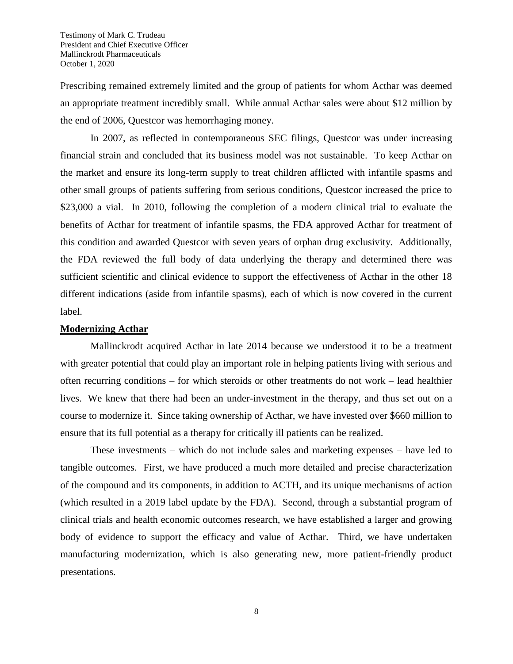Prescribing remained extremely limited and the group of patients for whom Acthar was deemed an appropriate treatment incredibly small. While annual Acthar sales were about \$12 million by the end of 2006, Questcor was hemorrhaging money.

In 2007, as reflected in contemporaneous SEC filings, Questcor was under increasing financial strain and concluded that its business model was not sustainable. To keep Acthar on the market and ensure its long-term supply to treat children afflicted with infantile spasms and other small groups of patients suffering from serious conditions, Questcor increased the price to \$23,000 a vial. In 2010, following the completion of a modern clinical trial to evaluate the benefits of Acthar for treatment of infantile spasms, the FDA approved Acthar for treatment of this condition and awarded Questcor with seven years of orphan drug exclusivity. Additionally, the FDA reviewed the full body of data underlying the therapy and determined there was sufficient scientific and clinical evidence to support the effectiveness of Acthar in the other 18 different indications (aside from infantile spasms), each of which is now covered in the current label.

#### **Modernizing Acthar**

Mallinckrodt acquired Acthar in late 2014 because we understood it to be a treatment with greater potential that could play an important role in helping patients living with serious and often recurring conditions – for which steroids or other treatments do not work – lead healthier lives. We knew that there had been an under-investment in the therapy, and thus set out on a course to modernize it. Since taking ownership of Acthar, we have invested over \$660 million to ensure that its full potential as a therapy for critically ill patients can be realized.

These investments – which do not include sales and marketing expenses – have led to tangible outcomes. First, we have produced a much more detailed and precise characterization of the compound and its components, in addition to ACTH, and its unique mechanisms of action (which resulted in a 2019 label update by the FDA). Second, through a substantial program of clinical trials and health economic outcomes research, we have established a larger and growing body of evidence to support the efficacy and value of Acthar. Third, we have undertaken manufacturing modernization, which is also generating new, more patient-friendly product presentations.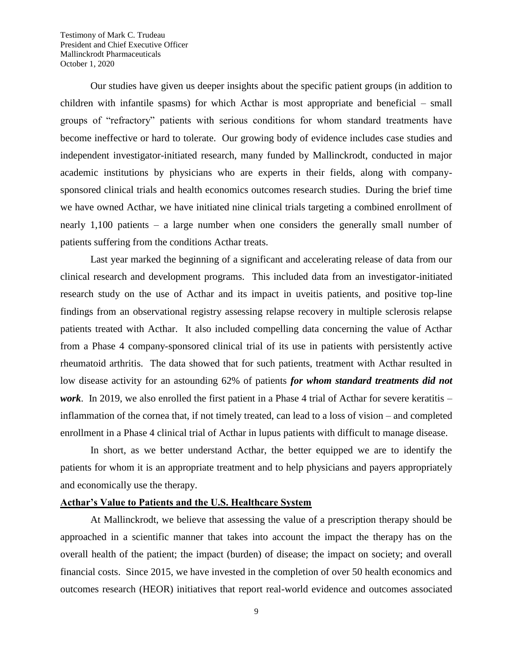Our studies have given us deeper insights about the specific patient groups (in addition to children with infantile spasms) for which Acthar is most appropriate and beneficial – small groups of "refractory" patients with serious conditions for whom standard treatments have become ineffective or hard to tolerate. Our growing body of evidence includes case studies and independent investigator-initiated research, many funded by Mallinckrodt, conducted in major academic institutions by physicians who are experts in their fields, along with companysponsored clinical trials and health economics outcomes research studies. During the brief time we have owned Acthar, we have initiated nine clinical trials targeting a combined enrollment of nearly 1,100 patients – a large number when one considers the generally small number of patients suffering from the conditions Acthar treats.

Last year marked the beginning of a significant and accelerating release of data from our clinical research and development programs. This included data from an investigator-initiated research study on the use of Acthar and its impact in uveitis patients, and positive top-line findings from an observational registry assessing relapse recovery in multiple sclerosis relapse patients treated with Acthar. It also included compelling data concerning the value of Acthar from a Phase 4 company-sponsored clinical trial of its use in patients with persistently active rheumatoid arthritis. The data showed that for such patients, treatment with Acthar resulted in low disease activity for an astounding 62% of patients *for whom standard treatments did not work*. In 2019, we also enrolled the first patient in a Phase 4 trial of Acthar for severe keratitis – inflammation of the cornea that, if not timely treated, can lead to a loss of vision – and completed enrollment in a Phase 4 clinical trial of Acthar in lupus patients with difficult to manage disease.

In short, as we better understand Acthar, the better equipped we are to identify the patients for whom it is an appropriate treatment and to help physicians and payers appropriately and economically use the therapy.

## **Acthar's Value to Patients and the U.S. Healthcare System**

At Mallinckrodt, we believe that assessing the value of a prescription therapy should be approached in a scientific manner that takes into account the impact the therapy has on the overall health of the patient; the impact (burden) of disease; the impact on society; and overall financial costs. Since 2015, we have invested in the completion of over 50 health economics and outcomes research (HEOR) initiatives that report real-world evidence and outcomes associated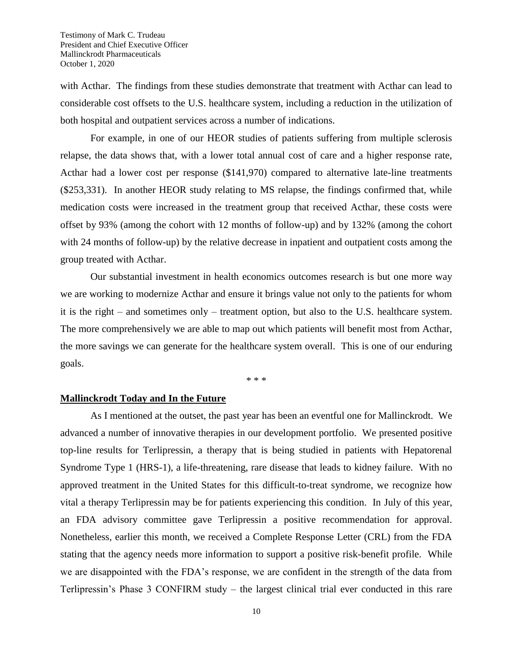with Acthar. The findings from these studies demonstrate that treatment with Acthar can lead to considerable cost offsets to the U.S. healthcare system, including a reduction in the utilization of both hospital and outpatient services across a number of indications.

For example, in one of our HEOR studies of patients suffering from multiple sclerosis relapse, the data shows that, with a lower total annual cost of care and a higher response rate, Acthar had a lower cost per response (\$141,970) compared to alternative late-line treatments (\$253,331). In another HEOR study relating to MS relapse, the findings confirmed that, while medication costs were increased in the treatment group that received Acthar, these costs were offset by 93% (among the cohort with 12 months of follow-up) and by 132% (among the cohort with 24 months of follow-up) by the relative decrease in inpatient and outpatient costs among the group treated with Acthar.

Our substantial investment in health economics outcomes research is but one more way we are working to modernize Acthar and ensure it brings value not only to the patients for whom it is the right – and sometimes only – treatment option, but also to the U.S. healthcare system. The more comprehensively we are able to map out which patients will benefit most from Acthar, the more savings we can generate for the healthcare system overall. This is one of our enduring goals.

\* \* \*

## **Mallinckrodt Today and In the Future**

As I mentioned at the outset, the past year has been an eventful one for Mallinckrodt. We advanced a number of innovative therapies in our development portfolio. We presented positive top-line results for Terlipressin, a therapy that is being studied in patients with Hepatorenal Syndrome Type 1 (HRS-1), a life-threatening, rare disease that leads to kidney failure. With no approved treatment in the United States for this difficult-to-treat syndrome, we recognize how vital a therapy Terlipressin may be for patients experiencing this condition. In July of this year, an FDA advisory committee gave Terlipressin a positive recommendation for approval. Nonetheless, earlier this month, we received a Complete Response Letter (CRL) from the FDA stating that the agency needs more information to support a positive risk-benefit profile. While we are disappointed with the FDA's response, we are confident in the strength of the data from Terlipressin's Phase 3 CONFIRM study – the largest clinical trial ever conducted in this rare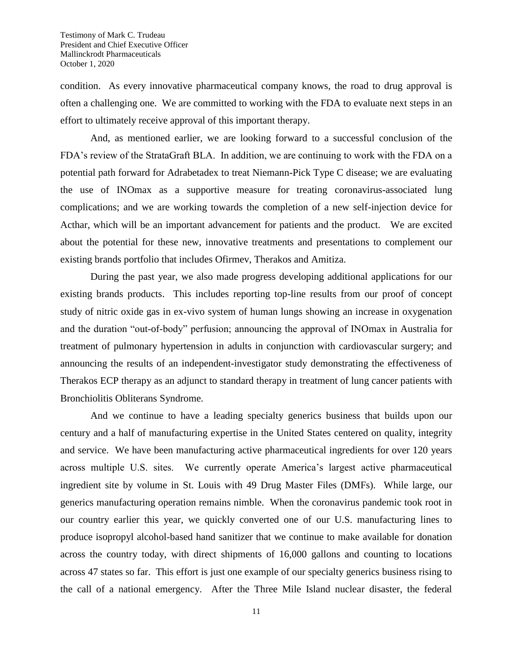condition. As every innovative pharmaceutical company knows, the road to drug approval is often a challenging one. We are committed to working with the FDA to evaluate next steps in an effort to ultimately receive approval of this important therapy.

And, as mentioned earlier, we are looking forward to a successful conclusion of the FDA's review of the StrataGraft BLA. In addition, we are continuing to work with the FDA on a potential path forward for Adrabetadex to treat Niemann-Pick Type C disease; we are evaluating the use of INOmax as a supportive measure for treating coronavirus-associated lung complications; and we are working towards the completion of a new self-injection device for Acthar, which will be an important advancement for patients and the product. We are excited about the potential for these new, innovative treatments and presentations to complement our existing brands portfolio that includes Ofirmev, Therakos and Amitiza.

During the past year, we also made progress developing additional applications for our existing brands products. This includes reporting top-line results from our proof of concept study of nitric oxide gas in ex-vivo system of human lungs showing an increase in oxygenation and the duration "out-of-body" perfusion; announcing the approval of INOmax in Australia for treatment of pulmonary hypertension in adults in conjunction with cardiovascular surgery; and announcing the results of an independent-investigator study demonstrating the effectiveness of Therakos ECP therapy as an adjunct to standard therapy in treatment of lung cancer patients with Bronchiolitis Obliterans Syndrome.

And we continue to have a leading specialty generics business that builds upon our century and a half of manufacturing expertise in the United States centered on quality, integrity and service. We have been manufacturing active pharmaceutical ingredients for over 120 years across multiple U.S. sites. We currently operate America's largest active pharmaceutical ingredient site by volume in St. Louis with 49 Drug Master Files (DMFs). While large, our generics manufacturing operation remains nimble. When the coronavirus pandemic took root in our country earlier this year, we quickly converted one of our U.S. manufacturing lines to produce isopropyl alcohol-based hand sanitizer that we continue to make available for donation across the country today, with direct shipments of 16,000 gallons and counting to locations across 47 states so far. This effort is just one example of our specialty generics business rising to the call of a national emergency. After the Three Mile Island nuclear disaster, the federal